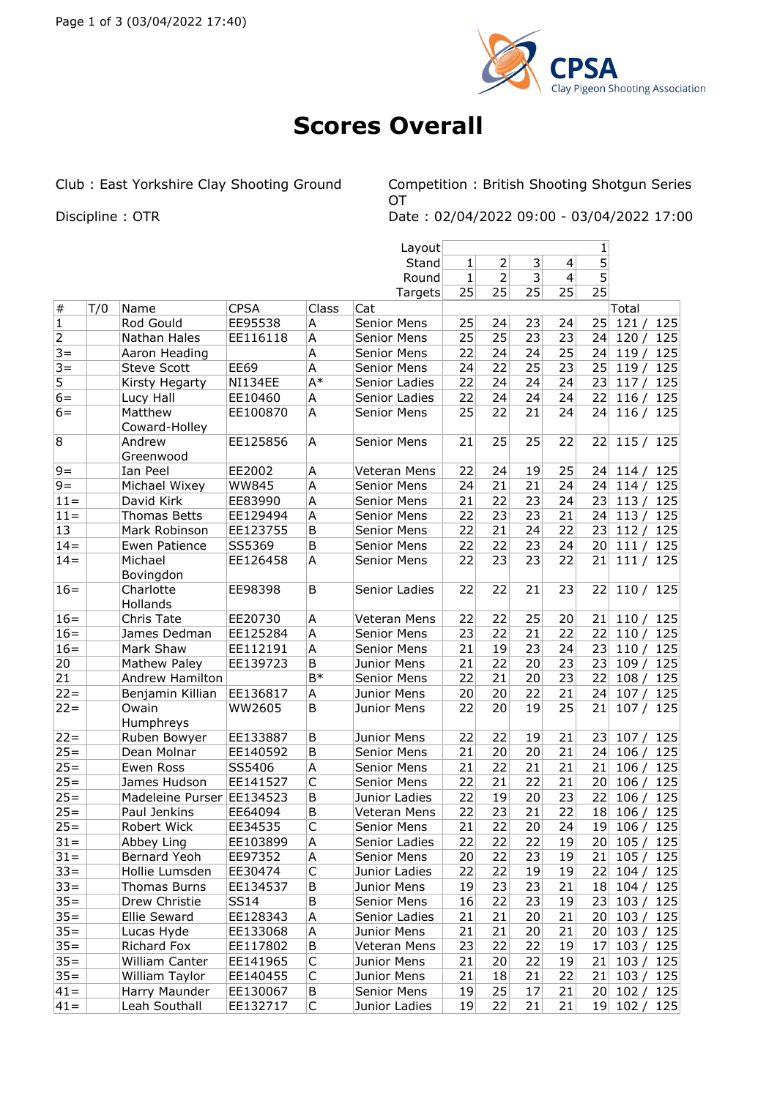

## **Scores Overall**

Club : East Yorkshire Clay Shooting Ground Competition : British Shooting Shotgun Series **OT** Discipline : OTR Date : 02/04/2022 09:00 - 03/04/2022 17:00

|                |     |                           |              |                | Layout             |              |                |                 |    | 1  |                |
|----------------|-----|---------------------------|--------------|----------------|--------------------|--------------|----------------|-----------------|----|----|----------------|
|                |     |                           |              |                | Stand              | $\mathbf{1}$ | $\overline{2}$ | 3               | 4  | 5  |                |
|                |     |                           |              |                | Round              | $\mathbf{1}$ | 2              | 3               | 4  | 5  |                |
|                |     |                           |              |                | Targets            | 25           | 25             | 25              | 25 | 25 |                |
| $\#$           | T/0 | Name                      | <b>CPSA</b>  | Class          | Cat                |              |                |                 |    |    | Total          |
| $\mathbf{1}$   |     | Rod Gould                 | EE95538      | Α              | <b>Senior Mens</b> | 25           | 24             | 23              | 24 | 25 | 125<br>121/    |
| $\overline{2}$ |     | Nathan Hales              | EE116118     | A              | <b>Senior Mens</b> | 25           | 25             | 23              | 23 | 24 | 120/<br>125    |
| $3 =$          |     | Aaron Heading             |              | A              | Senior Mens        | 22           | 24             | 24              | 25 | 24 | 125<br>119/    |
| $3 =$          |     | <b>Steve Scott</b>        | <b>EE69</b>  | A              | <b>Senior Mens</b> | 24           | 22             | 25              | 23 | 25 | 119/<br>125    |
| 5              |     | Kirsty Hegarty            | NI134EE      | $A^*$          | Senior Ladies      | 22           | 24             | 24              | 24 | 23 | 117/<br>125    |
| $6=$           |     | Lucy Hall                 | EE10460      | A              | Senior Ladies      | 22           | 24             | 24              | 24 | 22 | 125<br>116/    |
| $6=$           |     | Matthew                   | EE100870     | Α              | <b>Senior Mens</b> | 25           | 22             | 21              | 24 | 24 | 116/<br>125    |
|                |     | Coward-Holley             |              |                |                    |              |                |                 |    |    |                |
| 8              |     | Andrew                    | EE125856     | A              | <b>Senior Mens</b> | 21           | 25             | 25              | 22 | 22 | 115/125        |
|                |     | Greenwood                 |              |                |                    |              |                |                 |    |    |                |
| $9=$           |     | Ian Peel                  | EE2002       | A              | Veteran Mens       | 22           | 24             | 19              | 25 | 24 | 114/<br>125    |
| $9 =$          |     | Michael Wixey             | <b>WW845</b> | A              | Senior Mens        | 24           | 21             | 21              | 24 | 24 | 114/<br>125    |
| $11 =$         |     | David Kirk                | EE83990      | A              | <b>Senior Mens</b> | 21           | 22             | 23              | 24 | 23 | 113/<br>125    |
| $11 =$         |     | Thomas Betts              | EE129494     | A              | Senior Mens        | 22           | 23             | 23              | 21 | 24 | 125<br>113/    |
| 13             |     | Mark Robinson             | EE123755     | B              | <b>Senior Mens</b> | 22           | 21             | 24              | 22 | 23 | 125<br>112/    |
| $14 =$         |     | <b>Ewen Patience</b>      | SS5369       | B              | Senior Mens        | 22           | 22             | 23              | 24 | 20 | 125<br>111/    |
| $14=$          |     | Michael                   | EE126458     | A              | <b>Senior Mens</b> | 22           | 23             | 23              | 22 | 21 | 125<br>111/    |
|                |     | Bovingdon                 |              |                |                    |              |                |                 |    |    |                |
| $16=$          |     | Charlotte                 | EE98398      | B              | Senior Ladies      | 22           | 22             | 21              | 23 | 22 | 110 / 125      |
|                |     | Hollands                  |              |                |                    |              |                |                 |    |    |                |
| $16=$          |     | Chris Tate                | EE20730      | A              | Veteran Mens       | 22           | 22             | 25              | 20 | 21 | 110/<br>125    |
| $16=$          |     | James Dedman              | EE125284     | A              | <b>Senior Mens</b> | 23           | 22             | 21              | 22 | 22 | 110/<br>125    |
| $16=$          |     | Mark Shaw                 | EE112191     | A              | <b>Senior Mens</b> | 21           | 19             | 23              | 24 | 23 | 110/<br>125    |
| 20             |     | Mathew Paley              | EE139723     | B              | Junior Mens        | 21           | 22             | 20              | 23 | 23 | 109/<br>125    |
| 21             |     | Andrew Hamilton           |              | B <sup>*</sup> | <b>Senior Mens</b> | 22           | 21             | 20              | 23 | 22 | 108/<br>125    |
| $22 =$         |     | Benjamin Killian          | EE136817     | A              | Junior Mens        | 20           | 20             | 22              | 21 | 24 | 107/<br>125    |
| $22 =$         |     | Owain                     | WW2605       | B              | Junior Mens        | 22           | 20             | 19              | 25 | 21 | 107 / 125      |
|                |     | Humphreys                 |              |                |                    |              |                |                 |    |    |                |
| $22 =$         |     | Ruben Bowyer              | EE133887     | B              | Junior Mens        | 22           | 22             | 19              | 21 | 23 | 107/<br>125    |
| $25 =$         |     | Dean Molnar               | EE140592     | B              | Senior Mens        | 21           | 20             | 20              | 21 | 24 | 106/<br>125    |
| $25 =$         |     | Ewen Ross                 | SS5406       | A              | Senior Mens        | 21           | 22             | 21              | 21 | 21 | 125<br>106/    |
| $25 =$         |     | James Hudson              | EE141527     | $\mathsf{C}$   | <b>Senior Mens</b> | 22           | 21             | 22              | 21 | 20 | 106/<br>125    |
| $25 =$         |     | Madeleine Purser EE134523 |              | B              | Junior Ladies      | 22           | 19             | 20              | 23 | 22 | 125<br>106/    |
| $25 =$         |     | Paul Jenkins              | EE64094      | B              | Veteran Mens       | 22           | 23             | 21              | 22 | 18 | 125<br>106/    |
| $25 =$         |     | Robert Wick               | EE34535      | $\mathsf C$    | Senior Mens        | 21           | <u>22</u>      | 20 <sup>2</sup> | 24 |    | 19 106 / 125   |
| $31 =$         |     | Abbey Ling                | EE103899     | A              | Senior Ladies      | 22           | 22             | 22              | 19 |    | 20 105/125     |
| $31 =$         |     | Bernard Yeoh              | EE97352      | A              | Senior Mens        | 20           | 22             | 23              | 19 | 21 | 105/<br>125    |
| $33 =$         |     | Hollie Lumsden            | EE30474      | C              | Junior Ladies      | 22           | 22             | 19              | 19 |    | 22 104 / 125   |
| $33 =$         |     | Thomas Burns              | EE134537     | B              | Junior Mens        | 19           | 23             | 23              | 21 |    | 18 104 / 125   |
| $35 =$         |     | Drew Christie             | SS14         | В              | Senior Mens        | 16           | 22             | 23              | 19 |    | 23 103 / 125   |
| $35 =$         |     | Ellie Seward              | EE128343     | Α              | Senior Ladies      | 21           | 21             | 20              | 21 |    | 20 103/<br>125 |
| $35 =$         |     | Lucas Hyde                | EE133068     | Α              | Junior Mens        | 21           | 21             | 20              | 21 |    | 20 103/<br>125 |
| $35 =$         |     | Richard Fox               | EE117802     | B              | Veteran Mens       | 23           | 22             | 22              | 19 | 17 | 103/<br>125    |
| $35 =$         |     | William Canter            | EE141965     | C              | Junior Mens        | 21           | 20             | 22              | 19 | 21 | 103/<br>125    |
| $35 =$         |     | William Taylor            | EE140455     | $\mathsf C$    | Junior Mens        | 21           | 18             | 21              | 22 | 21 | 103/<br>125    |
| $ 41=$         |     | Harry Maunder             | EE130067     | B              | Senior Mens        | 19           | 25             | 17              | 21 |    | 20 102 / 125   |
| $ 41=$         |     | Leah Southall             | EE132717     | C              | Junior Ladies      | 19           | 22             | 21              | 21 |    | 19 102 / 125   |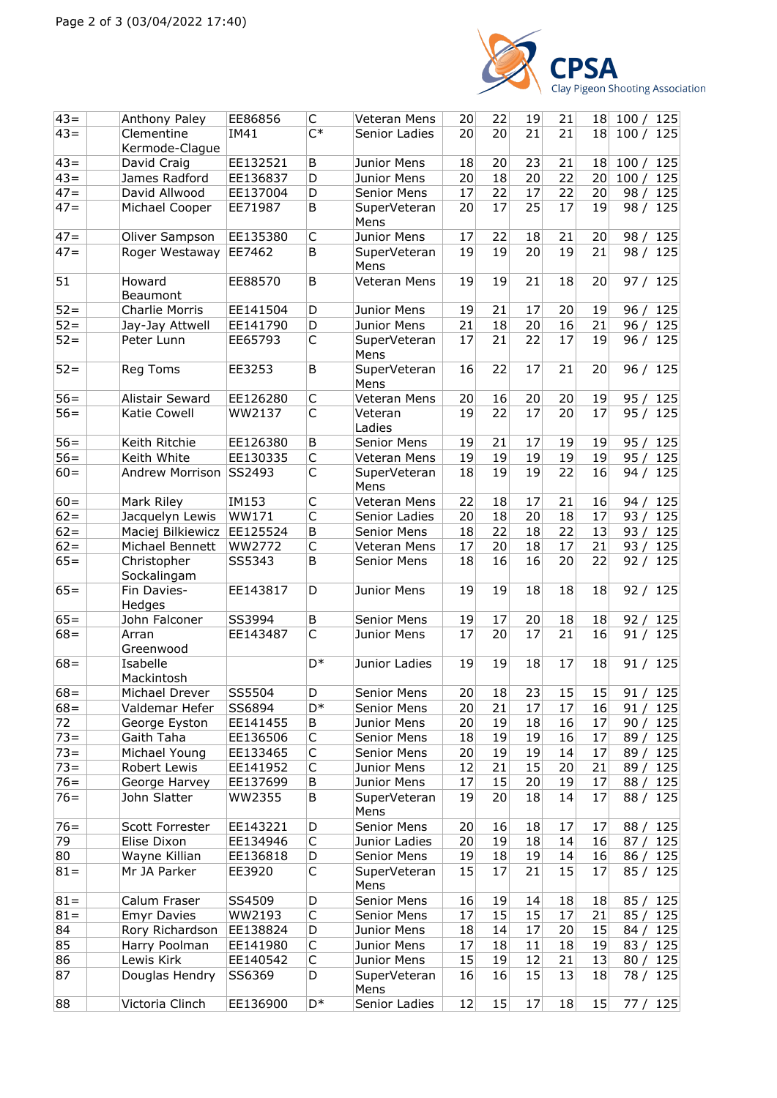

| $43 =$ | Anthony Paley              | EE86856  | C            | Veteran Mens         | 20 | 22 | 19 | 21 | 18              | 100 / 125     |
|--------|----------------------------|----------|--------------|----------------------|----|----|----|----|-----------------|---------------|
| $43=$  | Clementine                 | IM41     | $C^*$        | Senior Ladies        | 20 | 20 | 21 | 21 | 18 <sup>1</sup> | 100/<br>125   |
|        | Kermode-Clague             |          |              |                      |    |    |    |    |                 |               |
| $43 =$ | David Craig                | EE132521 | B            | Junior Mens          | 18 | 20 | 23 | 21 | 18              | 100 / 125     |
| $43 =$ | James Radford              | EE136837 | D            | Junior Mens          | 20 | 18 | 20 | 22 | 20              | 100/<br>125   |
| $47 =$ | David Allwood              | EE137004 | D            | Senior Mens          | 17 | 22 | 17 | 22 | 20              | 98/<br>125    |
|        |                            |          |              |                      |    | 17 | 25 | 17 |                 |               |
| $47=$  | Michael Cooper             | EE71987  | B            | SuperVeteran<br>Mens | 20 |    |    |    | 19              | 125<br>98/    |
| $47 =$ | Oliver Sampson             | EE135380 | $\mathsf C$  | Junior Mens          | 17 | 22 | 18 | 21 | 20              | 98/<br>125    |
| $47=$  | Roger Westaway             | EE7462   | B            | SuperVeteran<br>Mens | 19 | 19 | 20 | 19 | 21              | 98 / 125      |
| 51     | Howard<br>Beaumont         | EE88570  | B            | Veteran Mens         | 19 | 19 | 21 | 18 | 20              | 97/<br>125    |
| $52 =$ | <b>Charlie Morris</b>      | EE141504 | D            | Junior Mens          | 19 | 21 | 17 | 20 | 19              | 96/<br>125    |
| $52 =$ | Jay-Jay Attwell            | EE141790 | D            | Junior Mens          | 21 | 18 | 20 | 16 | 21              | 96/<br>125    |
| $52 =$ | Peter Lunn                 | EE65793  | $\mathsf{C}$ | SuperVeteran         | 17 | 21 | 22 | 17 | 19              | 125<br>96/    |
|        |                            |          |              | Mens                 |    |    |    |    |                 |               |
| $52 =$ | Reg Toms                   | EE3253   | B            | SuperVeteran<br>Mens | 16 | 22 | 17 | 21 | 20              | 96 / 125      |
| $56 =$ | Alistair Seward            | EE126280 | $\mathsf C$  | Veteran Mens         | 20 | 16 | 20 | 20 | 19              | 95 /<br>125   |
| $56 =$ | Katie Cowell               | WW2137   | $\mathsf{C}$ | Veteran<br>Ladies    | 19 | 22 | 17 | 20 | 17              | 95 / 125      |
| $56 =$ | Keith Ritchie              | EE126380 | B            | <b>Senior Mens</b>   | 19 | 21 | 17 | 19 | 19              | 95/<br>125    |
| $56=$  | Keith White                | EE130335 | C            | Veteran Mens         | 19 | 19 | 19 | 19 | 19              | 95/<br>125    |
| $60 =$ | <b>Andrew Morrison</b>     | SS2493   | $\mathsf C$  | SuperVeteran         | 18 | 19 | 19 | 22 | 16              | 125<br>94 /   |
|        |                            |          |              | Mens                 |    |    |    |    |                 |               |
| $60 =$ | Mark Riley                 | IM153    | C            | Veteran Mens         | 22 | 18 | 17 | 21 | 16              | 94/<br>125    |
| $62 =$ | Jacquelyn Lewis            | WW171    | C            | Senior Ladies        | 20 | 18 | 20 | 18 | 17              | 93/<br>125    |
| $62 =$ | Maciej Bilkiewicz          | EE125524 | B            | Senior Mens          | 18 | 22 | 18 | 22 | 13              | 93/<br>125    |
| $62 =$ | Michael Bennett            | WW2772   | $\mathsf C$  | Veteran Mens         | 17 | 20 | 18 | 17 | 21              | 93 $/$<br>125 |
| $65 =$ | Christopher<br>Sockalingam | SS5343   | B            | Senior Mens          | 18 | 16 | 16 | 20 | 22              | 92/<br>125    |
| $65 =$ | Fin Davies-<br>Hedges      | EE143817 | D            | Junior Mens          | 19 | 19 | 18 | 18 | 18              | 92/<br>125    |
| $65 =$ | John Falconer              | SS3994   | B            | Senior Mens          | 19 | 17 | 20 | 18 | 18              | 92/<br>125    |
| $68 =$ | Arran                      | EE143487 | C            | Junior Mens          | 17 | 20 | 17 | 21 | 16              | 125<br>91/    |
|        | Greenwood                  |          |              |                      |    |    |    |    |                 |               |
| $68 =$ | Isabelle<br>Mackintosh     |          | $D^*$        | Junior Ladies        | 19 | 19 | 18 | 17 | 18              | 91/<br>125    |
| $68 =$ | Michael Drever             | SS5504   | D            | Senior Mens          | 20 | 18 | 23 | 15 | 15              | 91 / 125      |
| $68 =$ | Valdemar Hefer             | SS6894   | D*           | Senior Mens          | 20 | 21 | 17 | 17 | 16              | 91 / 125      |
| 72     | George Eyston              | EE141455 | B            | Junior Mens          | 20 | 19 | 18 | 16 | 17              | 125<br>90 /   |
| $73 =$ | Gaith Taha                 | EE136506 | C            | Senior Mens          | 18 | 19 | 19 | 16 | 17              | 125<br>89 /   |
| $73 =$ | Michael Young              | EE133465 | C            | Senior Mens          | 20 | 19 | 19 | 14 | 17              | 125<br>89 /   |
| $73 =$ | Robert Lewis               | EE141952 | C            | Junior Mens          | 12 | 21 | 15 | 20 | 21              | 125<br>89 /   |
| $76=$  | George Harvey              | EE137699 | B            | Junior Mens          | 17 | 15 | 20 | 19 | 17              | 88 / 125      |
| $76=$  | John Slatter               | WW2355   | B            | SuperVeteran         | 19 | 20 | 18 | 14 | 17              | 88 / 125      |
|        |                            |          |              | Mens<br>Senior Mens  |    |    |    |    |                 | 88 / 125      |
| $76 =$ | Scott Forrester            | EE143221 | D            |                      | 20 | 16 | 18 | 17 | 17              |               |
| 79     | Elise Dixon                | EE134946 | $\mathsf C$  | Junior Ladies        | 20 | 19 | 18 | 14 | 16              | 87 / 125      |
| 80     | Wayne Killian              | EE136818 | D            | Senior Mens          | 19 | 18 | 19 | 14 | 16              | 125<br>86/    |
| $81 =$ | Mr JA Parker               | EE3920   | C            | SuperVeteran<br>Mens | 15 | 17 | 21 | 15 | 17              | 85 / 125      |
| $81 =$ | Calum Fraser               | SS4509   | D            | Senior Mens          | 16 | 19 | 14 | 18 | 18              | 125<br>85 /   |
| $81 =$ | <b>Emyr Davies</b>         | WW2193   | С            | Senior Mens          | 17 | 15 | 15 | 17 | 21              | 85/125        |
| 84     | Rory Richardson            | EE138824 | D            | Junior Mens          | 18 | 14 | 17 | 20 | 15              | 84/<br>125    |
| 85     | Harry Poolman              | EE141980 | C            | Junior Mens          | 17 | 18 | 11 | 18 | 19              | 83/<br>125    |
| 86     | Lewis Kirk                 | EE140542 | $\mathsf C$  | Junior Mens          | 15 | 19 | 12 | 21 | 13              | 80 / 125      |
| 87     | Douglas Hendry             | SS6369   | D            | SuperVeteran<br>Mens | 16 | 16 | 15 | 13 | 18              | 78 / 125      |
| 88     | Victoria Clinch            | EE136900 | D*           | Senior Ladies        | 12 | 15 | 17 | 18 | 15              | 77/125        |
|        |                            |          |              |                      |    |    |    |    |                 |               |